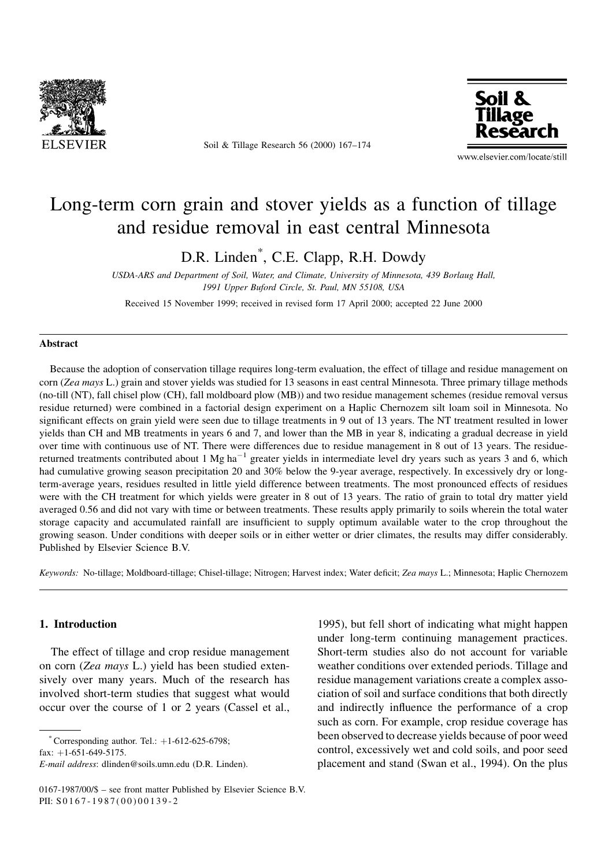

Soil & Tillage Research 56 (2000) 167-174



www.elsevier.com/locate/still

# Long-term corn grain and stover yields as a function of tillage and residue removal in east central Minnesota

D.R. Linden\* , C.E. Clapp, R.H. Dowdy

USDA-ARS and Department of Soil, Water, and Climate, University of Minnesota, 439 Borlaug Hall, 1991 Upper Buford Circle, St. Paul, MN 55108, USA

Received 15 November 1999; received in revised form 17 April 2000; accepted 22 June 2000

#### Abstract

Because the adoption of conservation tillage requires long-term evaluation, the effect of tillage and residue management on corn (Zea mays L.) grain and stover yields was studied for 13 seasons in east central Minnesota. Three primary tillage methods (no-till (NT), fall chisel plow (CH), fall moldboard plow (MB)) and two residue management schemes (residue removal versus residue returned) were combined in a factorial design experiment on a Haplic Chernozem silt loam soil in Minnesota. No significant effects on grain yield were seen due to tillage treatments in 9 out of 13 years. The NT treatment resulted in lower yields than CH and MB treatments in years 6 and 7, and lower than the MB in year 8, indicating a gradual decrease in yield over time with continuous use of NT. There were differences due to residue management in 8 out of 13 years. The residuereturned treatments contributed about 1 Mg ha<sup>-1</sup> greater yields in intermediate level dry years such as years 3 and 6, which had cumulative growing season precipitation 20 and 30% below the 9-year average, respectively. In excessively dry or longterm-average years, residues resulted in little yield difference between treatments. The most pronounced effects of residues were with the CH treatment for which yields were greater in 8 out of 13 years. The ratio of grain to total dry matter yield averaged 0.56 and did not vary with time or between treatments. These results apply primarily to soils wherein the total water storage capacity and accumulated rainfall are insufficient to supply optimum available water to the crop throughout the growing season. Under conditions with deeper soils or in either wetter or drier climates, the results may differ considerably. Published by Elsevier Science B.V.

Keywords: No-tillage; Moldboard-tillage; Chisel-tillage; Nitrogen; Harvest index; Water deficit; Zea mays L.; Minnesota; Haplic Chernozem

#### 1. Introduction

The effect of tillage and crop residue management on corn (Zea mays L.) yield has been studied extensively over many years. Much of the research has involved short-term studies that suggest what would occur over the course of 1 or 2 years (Cassel et al.,

 $*$  Corresponding author. Tel.:  $+1-612-625-6798$ ;

fax:  $+1-651-649-5175$ .

E-mail address: dlinden@soils.umn.edu (D.R. Linden).

1995), but fell short of indicating what might happen under long-term continuing management practices. Short-term studies also do not account for variable weather conditions over extended periods. Tillage and residue management variations create a complex association of soil and surface conditions that both directly and indirectly influence the performance of a crop such as corn. For example, crop residue coverage has been observed to decrease yields because of poor weed control, excessively wet and cold soils, and poor seed placement and stand (Swan et al., 1994). On the plus

<sup>0167-1987/00/\$ -</sup> see front matter Published by Elsevier Science B.V. PII: S 0167-1987(00)00139-2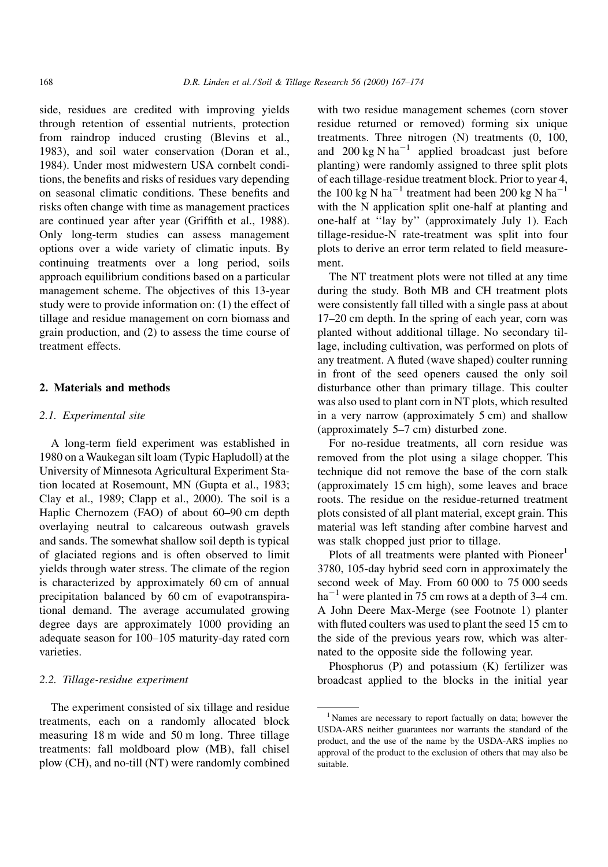side, residues are credited with improving yields through retention of essential nutrients, protection from raindrop induced crusting (Blevins et al., 1983), and soil water conservation (Doran et al., 1984). Under most midwestern USA cornbelt conditions, the benefits and risks of residues vary depending on seasonal climatic conditions. These benefits and risks often change with time as management practices are continued year after year (Griffith et al., 1988). Only long-term studies can assess management options over a wide variety of climatic inputs. By continuing treatments over a long period, soils approach equilibrium conditions based on a particular management scheme. The objectives of this 13-year study were to provide information on: (1) the effect of tillage and residue management on corn biomass and grain production, and (2) to assess the time course of treatment effects.

## 2. Materials and methods

#### 2.1. Experimental site

A long-term field experiment was established in 1980 on a Waukegan silt loam (Typic Hapludoll) at the University of Minnesota Agricultural Experiment Station located at Rosemount, MN (Gupta et al., 1983; Clay et al., 1989; Clapp et al., 2000). The soil is a Haplic Chernozem (FAO) of about 60-90 cm depth overlaying neutral to calcareous outwash gravels and sands. The somewhat shallow soil depth is typical of glaciated regions and is often observed to limit yields through water stress. The climate of the region is characterized by approximately 60 cm of annual precipitation balanced by 60 cm of evapotranspirational demand. The average accumulated growing degree days are approximately 1000 providing an adequate season for 100-105 maturity-day rated corn varieties.

## 2.2. Tillage-residue experiment

The experiment consisted of six tillage and residue treatments, each on a randomly allocated block measuring 18 m wide and 50 m long. Three tillage treatments: fall moldboard plow (MB), fall chisel plow (CH), and no-till (NT) were randomly combined

with two residue management schemes (corn stover residue returned or removed) forming six unique treatments. Three nitrogen (N) treatments (0, 100, and 200 kg N ha<sup>-1</sup> applied broadcast just before planting) were randomly assigned to three split plots of each tillage-residue treatment block. Prior to year 4, the 100 kg N ha<sup>-1</sup> treatment had been 200 kg N ha<sup>-1</sup> with the N application split one-half at planting and one-half at "lay by" (approximately July 1). Each tillage-residue-N rate-treatment was split into four plots to derive an error term related to field measurement.

The NT treatment plots were not tilled at any time during the study. Both MB and CH treatment plots were consistently fall tilled with a single pass at about 17–20 cm depth. In the spring of each year, corn was planted without additional tillage. No secondary tillage, including cultivation, was performed on plots of any treatment. A fluted (wave shaped) coulter running in front of the seed openers caused the only soil disturbance other than primary tillage. This coulter was also used to plant corn in NT plots, which resulted in a very narrow (approximately 5 cm) and shallow (approximately  $5-7$  cm) disturbed zone.

For no-residue treatments, all corn residue was removed from the plot using a silage chopper. This technique did not remove the base of the corn stalk (approximately 15 cm high), some leaves and brace roots. The residue on the residue-returned treatment plots consisted of all plant material, except grain. This material was left standing after combine harvest and was stalk chopped just prior to tillage.

Plots of all treatments were planted with  $P\text{i>energy}^1$ 3780, 105-day hybrid seed corn in approximately the second week of May. From 60 000 to 75 000 seeds  $ha^{-1}$  were planted in 75 cm rows at a depth of 3–4 cm. A John Deere Max-Merge (see Footnote 1) planter with fluted coulters was used to plant the seed 15 cm to the side of the previous years row, which was alternated to the opposite side the following year.

Phosphorus (P) and potassium (K) fertilizer was broadcast applied to the blocks in the initial year

<sup>&</sup>lt;sup>1</sup> Names are necessary to report factually on data; however the USDA-ARS neither guarantees nor warrants the standard of the product, and the use of the name by the USDA-ARS implies no approval of the product to the exclusion of others that may also be suitable.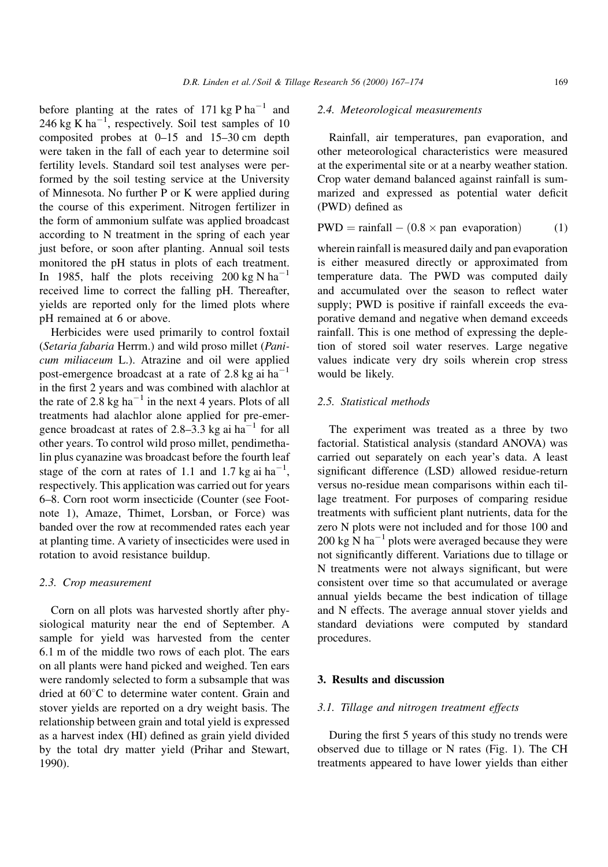before planting at the rates of 171 kg P ha<sup>-1</sup> and 246 kg  $\overline{K}$  ha<sup>-1</sup>, respectively. Soil test samples of 10 composited probes at  $0-15$  and  $15-30$  cm depth were taken in the fall of each year to determine soil fertility levels. Standard soil test analyses were performed by the soil testing service at the University of Minnesota. No further P or K were applied during the course of this experiment. Nitrogen fertilizer in the form of ammonium sulfate was applied broadcast according to N treatment in the spring of each year just before, or soon after planting. Annual soil tests monitored the pH status in plots of each treatment. In 1985, half the plots receiving 200 kg N ha<sup>-1</sup> received lime to correct the falling pH. Thereafter, yields are reported only for the limed plots where pH remained at 6 or above.

Herbicides were used primarily to control foxtail (Setaria fabaria Herrm.) and wild proso millet (Panicum miliaceum L.). Atrazine and oil were applied post-emergence broadcast at a rate of 2.8 kg ai  $ha^{-1}$ in the first 2 years and was combined with alachlor at the rate of  $2.8 \text{ kg ha}^{-1}$  in the next 4 years. Plots of all treatments had alachlor alone applied for pre-emergence broadcast at rates of 2.8–3.3 kg ai  $ha^{-1}$  for all other years. To control wild proso millet, pendimethalin plus cyanazine was broadcast before the fourth leaf stage of the corn at rates of 1.1 and 1.7 kg ai  $ha^{-1}$ , respectively. This application was carried out for years 6±8. Corn root worm insecticide (Counter (see Footnote 1), Amaze, Thimet, Lorsban, or Force) was banded over the row at recommended rates each year at planting time. A variety of insecticides were used in rotation to avoid resistance buildup.

#### 2.3. Crop measurement

Corn on all plots was harvested shortly after physiological maturity near the end of September. A sample for yield was harvested from the center 6.1 m of the middle two rows of each plot. The ears on all plants were hand picked and weighed. Ten ears were randomly selected to form a subsample that was dried at  $60^{\circ}$ C to determine water content. Grain and stover yields are reported on a dry weight basis. The relationship between grain and total yield is expressed as a harvest index (HI) defined as grain yield divided by the total dry matter yield (Prihar and Stewart, 1990).

## 2.4. Meteorological measurements

Rainfall, air temperatures, pan evaporation, and other meteorological characteristics were measured at the experimental site or at a nearby weather station. Crop water demand balanced against rainfall is summarized and expressed as potential water deficit (PWD) defined as

$$
PWD = rainfall - (0.8 \times pan \;evaporation)
$$
 (1)

wherein rainfall is measured daily and pan evaporation is either measured directly or approximated from temperature data. The PWD was computed daily and accumulated over the season to reflect water supply; PWD is positive if rainfall exceeds the evaporative demand and negative when demand exceeds rainfall. This is one method of expressing the depletion of stored soil water reserves. Large negative values indicate very dry soils wherein crop stress would be likely.

## 2.5. Statistical methods

The experiment was treated as a three by two factorial. Statistical analysis (standard ANOVA) was carried out separately on each year's data. A least significant difference (LSD) allowed residue-return versus no-residue mean comparisons within each tillage treatment. For purposes of comparing residue treatments with sufficient plant nutrients, data for the zero N plots were not included and for those 100 and 200 kg N ha<sup> $-1$ </sup> plots were averaged because they were not significantly different. Variations due to tillage or N treatments were not always significant, but were consistent over time so that accumulated or average annual yields became the best indication of tillage and N effects. The average annual stover yields and standard deviations were computed by standard procedures.

## 3. Results and discussion

## 3.1. Tillage and nitrogen treatment effects

During the first 5 years of this study no trends were observed due to tillage or N rates (Fig. 1). The CH treatments appeared to have lower yields than either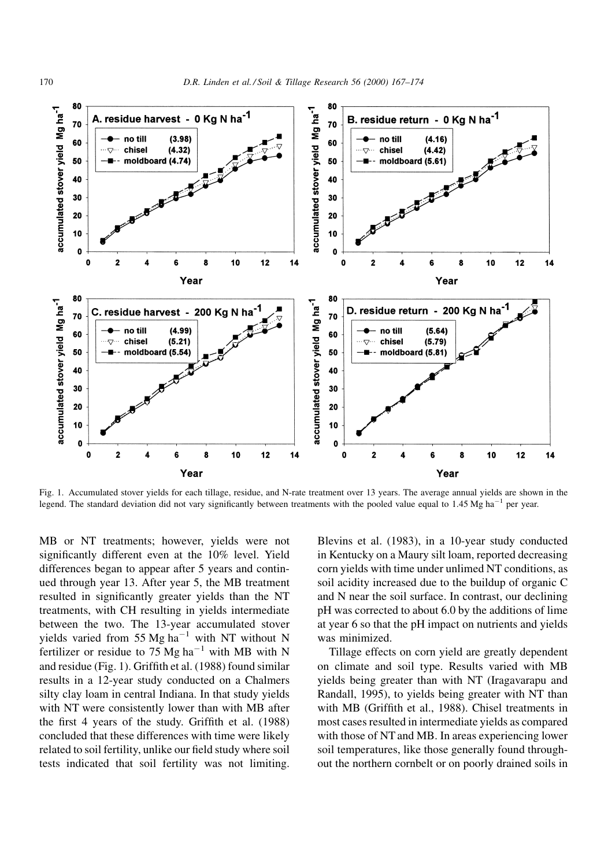

Fig. 1. Accumulated stover yields for each tillage, residue, and N-rate treatment over 13 years. The average annual yields are shown in the legend. The standard deviation did not vary significantly between treatments with the pooled value equal to 1.45 Mg ha<sup>-1</sup> per year.

MB or NT treatments; however, yields were not significantly different even at the 10% level. Yield differences began to appear after 5 years and continued through year 13. After year 5, the MB treatment resulted in significantly greater yields than the NT treatments, with CH resulting in yields intermediate between the two. The 13-year accumulated stover yields varied from 55 Mg ha<sup>-1</sup> with NT without N fertilizer or residue to 75 Mg ha<sup> $-1$ </sup> with MB with N and residue (Fig. 1). Griffith et al. (1988) found similar results in a 12-year study conducted on a Chalmers silty clay loam in central Indiana. In that study yields with NT were consistently lower than with MB after the first 4 years of the study. Griffith et al. (1988) concluded that these differences with time were likely related to soil fertility, unlike our field study where soil tests indicated that soil fertility was not limiting.

Blevins et al. (1983), in a 10-year study conducted in Kentucky on a Maury silt loam, reported decreasing corn yields with time under unlimed NT conditions, as soil acidity increased due to the buildup of organic C and N near the soil surface. In contrast, our declining pH was corrected to about 6.0 by the additions of lime at year 6 so that the pH impact on nutrients and yields was minimized.

Tillage effects on corn yield are greatly dependent on climate and soil type. Results varied with MB yields being greater than with NT (Iragavarapu and Randall, 1995), to yields being greater with NT than with MB (Griffith et al., 1988). Chisel treatments in most cases resulted in intermediate yields as compared with those of NT and MB. In areas experiencing lower soil temperatures, like those generally found throughout the northern cornbelt or on poorly drained soils in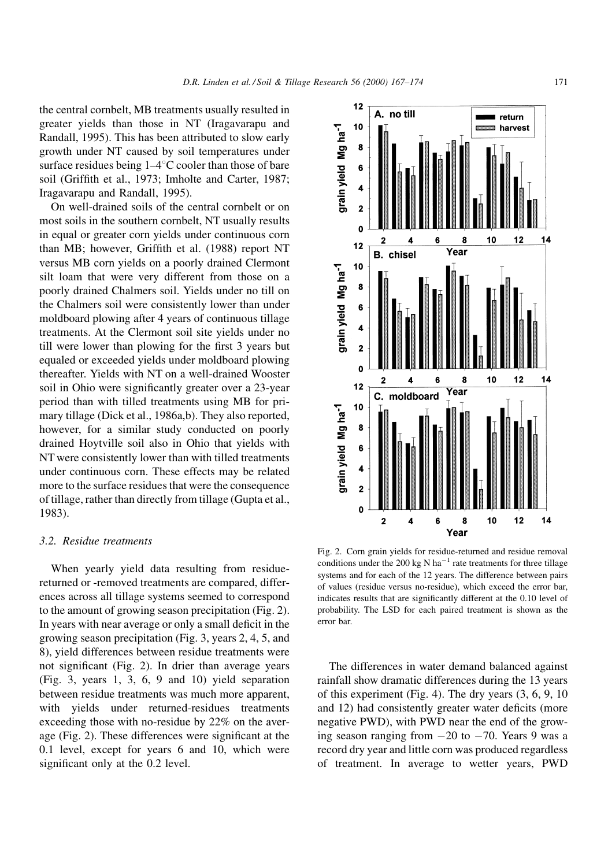the central cornbelt, MB treatments usually resulted in greater yields than those in NT (Iragavarapu and Randall, 1995). This has been attributed to slow early growth under NT caused by soil temperatures under surface residues being  $1-4^{\circ}C$  cooler than those of bare soil (Griffith et al., 1973; Imholte and Carter, 1987; Iragavarapu and Randall, 1995).

On well-drained soils of the central cornbelt or on most soils in the southern cornbelt, NT usually results in equal or greater corn yields under continuous corn than MB; however, Griffith et al. (1988) report NT versus MB corn yields on a poorly drained Clermont silt loam that were very different from those on a poorly drained Chalmers soil. Yields under no till on the Chalmers soil were consistently lower than under moldboard plowing after 4 years of continuous tillage treatments. At the Clermont soil site yields under no till were lower than plowing for the first 3 years but equaled or exceeded yields under moldboard plowing thereafter. Yields with NT on a well-drained Wooster soil in Ohio were significantly greater over a 23-year period than with tilled treatments using MB for primary tillage (Dick et al., 1986a,b). They also reported, however, for a similar study conducted on poorly drained Hoytville soil also in Ohio that yields with NT were consistently lower than with tilled treatments under continuous corn. These effects may be related more to the surface residues that were the consequence of tillage, rather than directly from tillage (Gupta et al., 1983).

#### 3.2. Residue treatments

When yearly yield data resulting from residuereturned or -removed treatments are compared, differences across all tillage systems seemed to correspond to the amount of growing season precipitation (Fig. 2). In years with near average or only a small deficit in the growing season precipitation (Fig. 3, years 2, 4, 5, and 8), yield differences between residue treatments were not significant (Fig. 2). In drier than average years (Fig. 3, years 1, 3, 6, 9 and 10) yield separation between residue treatments was much more apparent, with yields under returned-residues treatments exceeding those with no-residue by 22% on the average (Fig. 2). These differences were significant at the 0.1 level, except for years 6 and 10, which were significant only at the 0.2 level.



Fig. 2. Corn grain yields for residue-returned and residue removal conditions under the 200 kg N ha<sup>-1</sup> rate treatments for three tillage systems and for each of the 12 years. The difference between pairs of values (residue versus no-residue), which exceed the error bar, indicates results that are significantly different at the 0.10 level of probability. The LSD for each paired treatment is shown as the error bar.

The differences in water demand balanced against rainfall show dramatic differences during the 13 years of this experiment (Fig. 4). The dry years (3, 6, 9, 10 and 12) had consistently greater water deficits (more negative PWD), with PWD near the end of the growing season ranging from  $-20$  to  $-70$ . Years 9 was a record dry year and little corn was produced regardless of treatment. In average to wetter years, PWD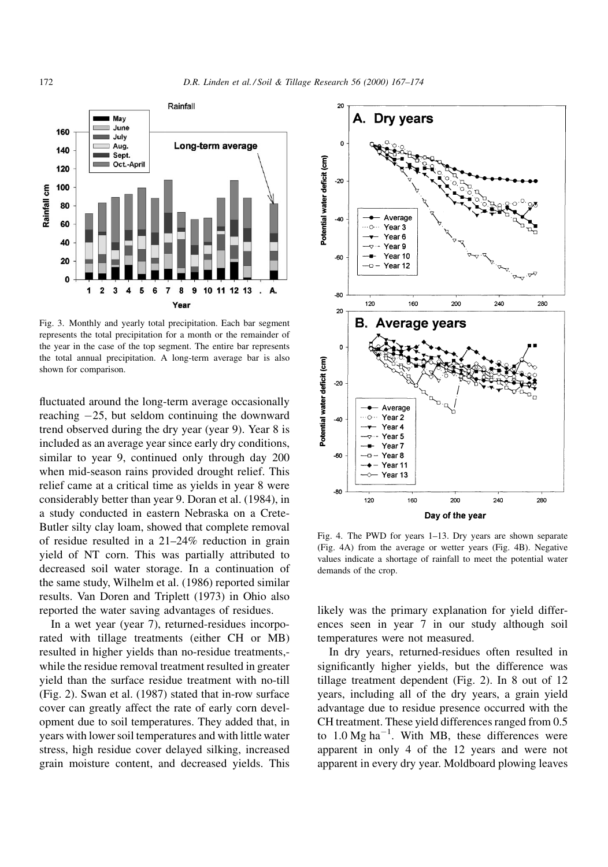

Fig. 3. Monthly and yearly total precipitation. Each bar segment represents the total precipitation for a month or the remainder of the year in the case of the top segment. The entire bar represents the total annual precipitation. A long-term average bar is also shown for comparison.

fluctuated around the long-term average occasionally reaching  $-25$ , but seldom continuing the downward trend observed during the dry year (year 9). Year 8 is included as an average year since early dry conditions, similar to year 9, continued only through day 200 when mid-season rains provided drought relief. This relief came at a critical time as yields in year 8 were considerably better than year 9. Doran et al. (1984), in a study conducted in eastern Nebraska on a Crete-Butler silty clay loam, showed that complete removal of residue resulted in a  $21-24\%$  reduction in grain yield of NT corn. This was partially attributed to decreased soil water storage. In a continuation of the same study, Wilhelm et al. (1986) reported similar results. Van Doren and Triplett (1973) in Ohio also reported the water saving advantages of residues.

In a wet year (year 7), returned-residues incorporated with tillage treatments (either CH or MB) resulted in higher yields than no-residue treatments, while the residue removal treatment resulted in greater yield than the surface residue treatment with no-till (Fig. 2). Swan et al. (1987) stated that in-row surface cover can greatly affect the rate of early corn development due to soil temperatures. They added that, in years with lower soil temperatures and with little water stress, high residue cover delayed silking, increased grain moisture content, and decreased yields. This



Fig. 4. The PWD for years 1-13. Dry years are shown separate (Fig. 4A) from the average or wetter years (Fig. 4B). Negative values indicate a shortage of rainfall to meet the potential water demands of the crop.

likely was the primary explanation for yield differences seen in year 7 in our study although soil temperatures were not measured.

In dry years, returned-residues often resulted in significantly higher yields, but the difference was tillage treatment dependent (Fig. 2). In 8 out of 12 years, including all of the dry years, a grain yield advantage due to residue presence occurred with the CH treatment. These yield differences ranged from 0.5 to  $1.0 \text{ Mg ha}^{-1}$ . With MB, these differences were apparent in only 4 of the 12 years and were not apparent in every dry year. Moldboard plowing leaves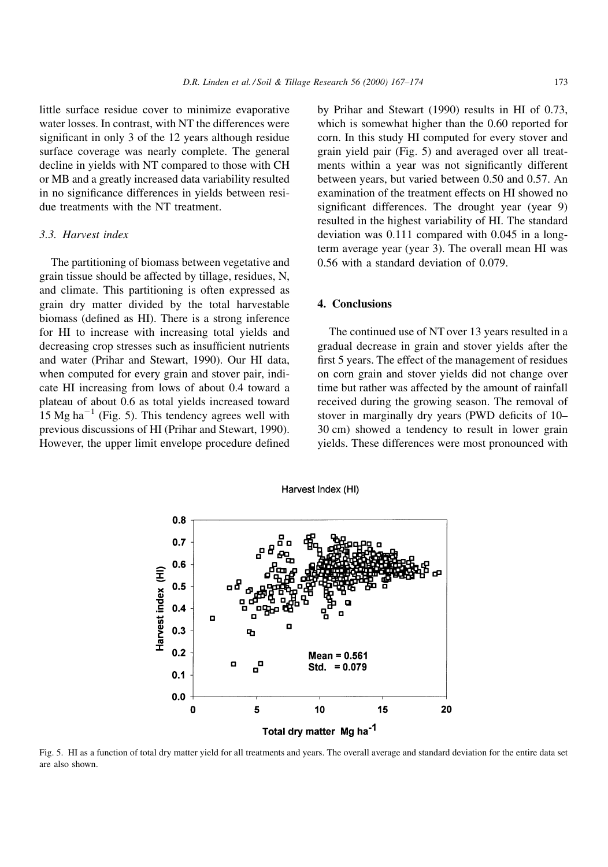little surface residue cover to minimize evaporative water losses. In contrast, with NT the differences were significant in only 3 of the 12 years although residue surface coverage was nearly complete. The general decline in yields with NT compared to those with CH or MB and a greatly increased data variability resulted in no significance differences in vields between residue treatments with the NT treatment.

## 3.3. Harvest index

The partitioning of biomass between vegetative and grain tissue should be affected by tillage, residues, N, and climate. This partitioning is often expressed as grain dry matter divided by the total harvestable biomass (defined as HI). There is a strong inference for HI to increase with increasing total yields and decreasing crop stresses such as insufficient nutrients and water (Prihar and Stewart, 1990). Our HI data, when computed for every grain and stover pair, indicate HI increasing from lows of about 0.4 toward a plateau of about 0.6 as total yields increased toward  $15$  Mg ha<sup>-1</sup> (Fig. 5). This tendency agrees well with previous discussions of HI (Prihar and Stewart, 1990). However, the upper limit envelope procedure defined

by Prihar and Stewart (1990) results in HI of 0.73, which is somewhat higher than the 0.60 reported for corn. In this study HI computed for every stover and grain yield pair (Fig. 5) and averaged over all treatments within a year was not significantly different between years, but varied between 0.50 and 0.57. An examination of the treatment effects on HI showed no significant differences. The drought year (year 9) resulted in the highest variability of HI. The standard deviation was 0.111 compared with 0.045 in a longterm average year (year 3). The overall mean HI was 0.56 with a standard deviation of 0.079.

# 4. Conclusions

The continued use of NT over 13 years resulted in a gradual decrease in grain and stover yields after the first 5 years. The effect of the management of residues on corn grain and stover yields did not change over time but rather was affected by the amount of rainfall received during the growing season. The removal of stover in marginally dry years (PWD deficits of 10– 30 cm) showed a tendency to result in lower grain yields. These differences were most pronounced with



Harvest Index (HI)

Fig. 5. HI as a function of total dry matter yield for all treatments and years. The overall average and standard deviation for the entire data set are also shown.